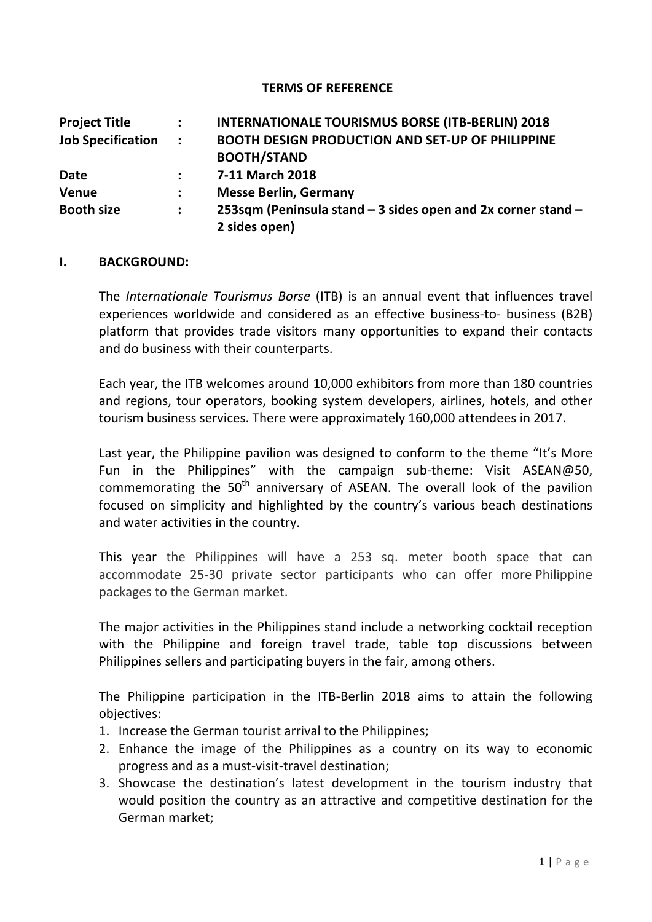#### **TERMS OF REFERENCE**

| <b>Project Title</b>     | $\ddot{\phantom{a}}$ | <b>INTERNATIONALE TOURISMUS BORSE (ITB-BERLIN) 2018</b>                       |
|--------------------------|----------------------|-------------------------------------------------------------------------------|
| <b>Job Specification</b> | $\sim 100$           | <b>BOOTH DESIGN PRODUCTION AND SET-UP OF PHILIPPINE</b><br><b>BOOTH/STAND</b> |
| <b>Date</b>              | $\ddot{\phantom{a}}$ | 7-11 March 2018                                                               |
| Venue                    | $\mathbf{L}$         | <b>Messe Berlin, Germany</b>                                                  |
| <b>Booth size</b>        | $\mathbf{L}$         | 253sqm (Peninsula stand - 3 sides open and 2x corner stand -                  |
|                          |                      | 2 sides open)                                                                 |

#### **I. BACKGROUND:**

The *Internationale Tourismus Borse* (ITB) is an annual event that influences travel experiences worldwide and considered as an effective business-to- business (B2B) platform that provides trade visitors many opportunities to expand their contacts and do business with their counterparts.

Each year, the ITB welcomes around 10,000 exhibitors from more than 180 countries and regions, tour operators, booking system developers, airlines, hotels, and other tourism business services. There were approximately 160,000 attendees in 2017.

Last year, the Philippine pavilion was designed to conform to the theme "It's More Fun in the Philippines" with the campaign sub-theme: Visit ASEAN@50, commemorating the  $50<sup>th</sup>$  anniversary of ASEAN. The overall look of the pavilion focused on simplicity and highlighted by the country's various beach destinations and water activities in the country.

This year the Philippines will have a 253 sq. meter booth space that can accommodate 25-30 private sector participants who can offer more Philippine packages to the German market.

The major activities in the Philippines stand include a networking cocktail reception with the Philippine and foreign travel trade, table top discussions between Philippines sellers and participating buyers in the fair, among others.

The Philippine participation in the ITB-Berlin 2018 aims to attain the following objectives:

- 1. Increase the German tourist arrival to the Philippines;
- 2. Enhance the image of the Philippines as a country on its way to economic progress and as a must-visit-travel destination;
- 3. Showcase the destination's latest development in the tourism industry that would position the country as an attractive and competitive destination for the German market;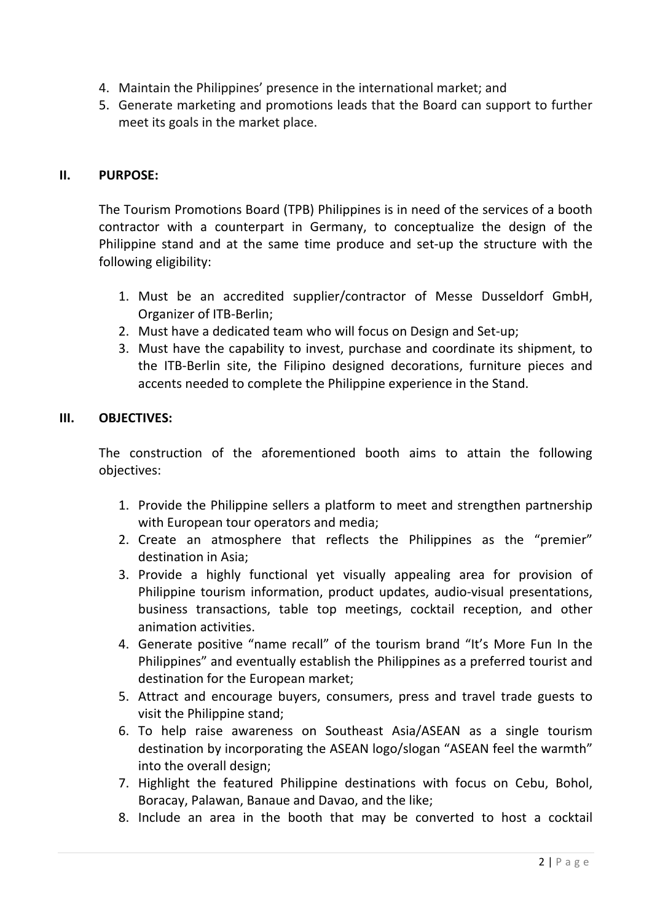- 4. Maintain the Philippines' presence in the international market; and
- 5. Generate marketing and promotions leads that the Board can support to further meet its goals in the market place.

# **II. PURPOSE:**

The Tourism Promotions Board (TPB) Philippines is in need of the services of a booth contractor with a counterpart in Germany, to conceptualize the design of the Philippine stand and at the same time produce and set-up the structure with the following eligibility:

- 1. Must be an accredited supplier/contractor of Messe Dusseldorf GmbH, Organizer of ITB-Berlin;
- 2. Must have a dedicated team who will focus on Design and Set-up;
- 3. Must have the capability to invest, purchase and coordinate its shipment, to the ITB-Berlin site, the Filipino designed decorations, furniture pieces and accents needed to complete the Philippine experience in the Stand.

# **III. OBJECTIVES:**

The construction of the aforementioned booth aims to attain the following objectives:

- 1. Provide the Philippine sellers a platform to meet and strengthen partnership with European tour operators and media;
- 2. Create an atmosphere that reflects the Philippines as the "premier" destination in Asia;
- 3. Provide a highly functional yet visually appealing area for provision of Philippine tourism information, product updates, audio-visual presentations, business transactions, table top meetings, cocktail reception, and other animation activities.
- 4. Generate positive "name recall" of the tourism brand "It's More Fun In the Philippines" and eventually establish the Philippines as a preferred tourist and destination for the European market:
- 5. Attract and encourage buyers, consumers, press and travel trade guests to visit the Philippine stand;
- 6. To help raise awareness on Southeast Asia/ASEAN as a single tourism destination by incorporating the ASEAN logo/slogan "ASEAN feel the warmth" into the overall design;
- 7. Highlight the featured Philippine destinations with focus on Cebu, Bohol, Boracay, Palawan, Banaue and Davao, and the like;
- 8. Include an area in the booth that may be converted to host a cocktail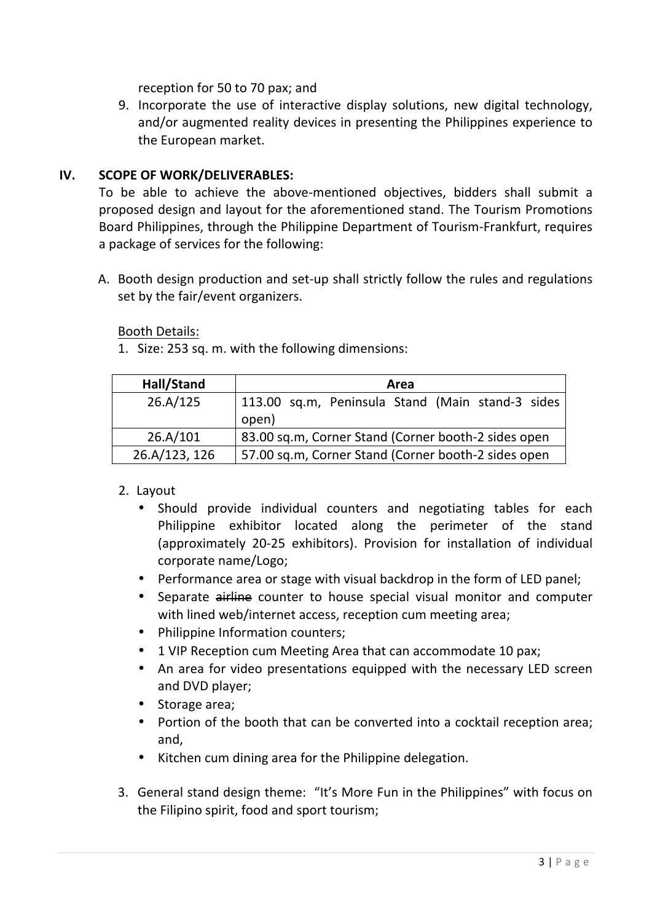reception for 50 to 70 pax; and

9. Incorporate the use of interactive display solutions, new digital technology, and/or augmented reality devices in presenting the Philippines experience to the European market.

# **IV. SCOPE OF WORK/DELIVERABLES:**

To be able to achieve the above-mentioned objectives, bidders shall submit a proposed design and layout for the aforementioned stand. The Tourism Promotions Board Philippines, through the Philippine Department of Tourism-Frankfurt, requires a package of services for the following:

A. Booth design production and set-up shall strictly follow the rules and regulations set by the fair/event organizers.

Booth Details:

1. Size: 253 sq. m. with the following dimensions:

| Hall/Stand    | Area                                                      |
|---------------|-----------------------------------------------------------|
| 26.A/125      | 113.00 sq.m, Peninsula Stand (Main stand-3 sides<br>open) |
| 26.A/101      | 83.00 sq.m, Corner Stand (Corner booth-2 sides open       |
| 26.A/123, 126 | 57.00 sq.m, Corner Stand (Corner booth-2 sides open       |

## 2. Layout

- Should provide individual counters and negotiating tables for each Philippine exhibitor located along the perimeter of the stand (approximately 20-25 exhibitors). Provision for installation of individual corporate name/Logo;
- Performance area or stage with visual backdrop in the form of LED panel;
- Separate airline counter to house special visual monitor and computer with lined web/internet access, reception cum meeting area;
- Philippine Information counters;
- 1 VIP Reception cum Meeting Area that can accommodate 10 pax;
- An area for video presentations equipped with the necessary LED screen and DVD player;
- Storage area:
- Portion of the booth that can be converted into a cocktail reception area; and,
- Kitchen cum dining area for the Philippine delegation.
- 3. General stand design theme: "It's More Fun in the Philippines" with focus on the Filipino spirit, food and sport tourism;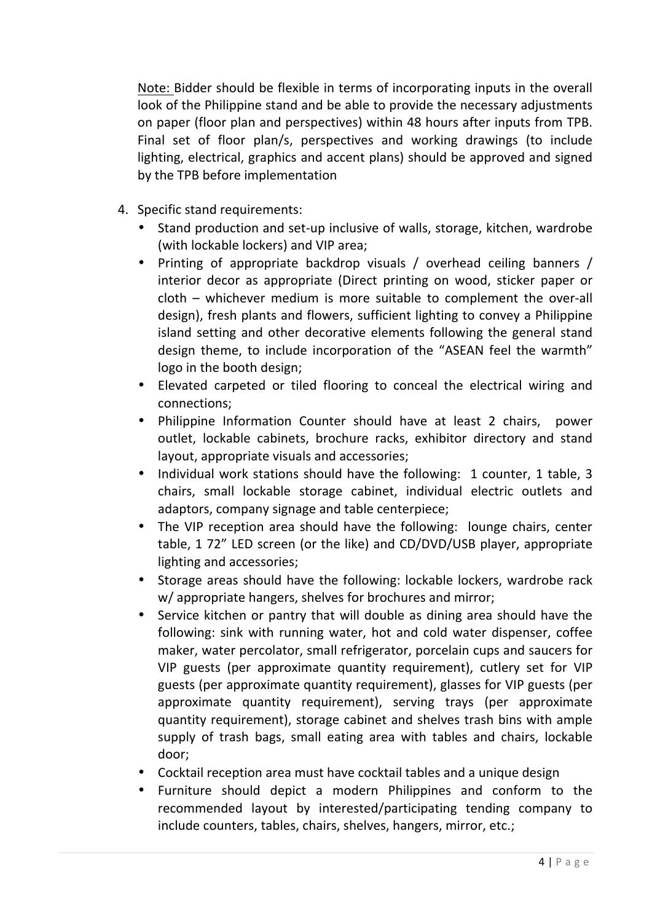Note: Bidder should be flexible in terms of incorporating inputs in the overall look of the Philippine stand and be able to provide the necessary adjustments on paper (floor plan and perspectives) within 48 hours after inputs from TPB. Final set of floor plan/s, perspectives and working drawings (to include lighting, electrical, graphics and accent plans) should be approved and signed by the TPB before implementation

- 4. Specific stand requirements:
	- Stand production and set-up inclusive of walls, storage, kitchen, wardrobe (with lockable lockers) and VIP area;
	- Printing of appropriate backdrop visuals / overhead ceiling banners / interior decor as appropriate (Direct printing on wood, sticker paper or  $\text{cloth}$  – whichever medium is more suitable to complement the over-all design), fresh plants and flowers, sufficient lighting to convey a Philippine island setting and other decorative elements following the general stand design theme, to include incorporation of the "ASEAN feel the warmth" logo in the booth design;
	- Elevated carpeted or tiled flooring to conceal the electrical wiring and connections;
	- Philippine Information Counter should have at least 2 chairs, power outlet, lockable cabinets, brochure racks, exhibitor directory and stand layout, appropriate visuals and accessories;
	- Individual work stations should have the following: 1 counter, 1 table, 3 chairs, small lockable storage cabinet, individual electric outlets and adaptors, company signage and table centerpiece;
	- The VIP reception area should have the following: lounge chairs, center table, 1 72" LED screen (or the like) and CD/DVD/USB player, appropriate lighting and accessories;
	- Storage areas should have the following: lockable lockers, wardrobe rack w/ appropriate hangers, shelves for brochures and mirror;
	- Service kitchen or pantry that will double as dining area should have the following: sink with running water, hot and cold water dispenser, coffee maker, water percolator, small refrigerator, porcelain cups and saucers for VIP guests (per approximate quantity requirement), cutlery set for VIP guests (per approximate quantity requirement), glasses for VIP guests (per approximate quantity requirement), serving trays (per approximate quantity requirement), storage cabinet and shelves trash bins with ample supply of trash bags, small eating area with tables and chairs, lockable door;
	- Cocktail reception area must have cocktail tables and a unique design
	- Furniture should depict a modern Philippines and conform to the recommended layout by interested/participating tending company to include counters, tables, chairs, shelves, hangers, mirror, etc.;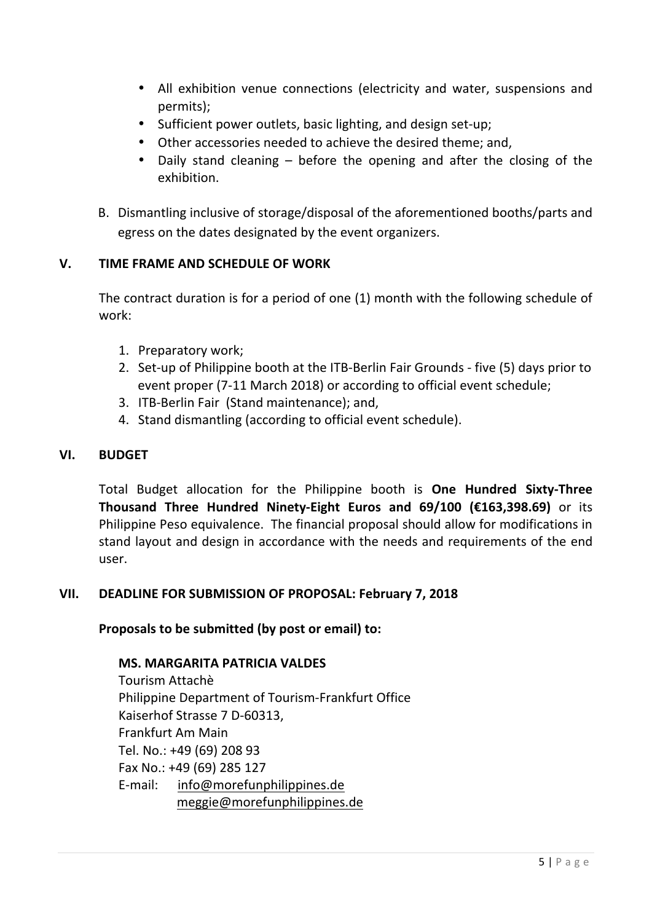- All exhibition venue connections (electricity and water, suspensions and permits);
- Sufficient power outlets, basic lighting, and design set-up;
- Other accessories needed to achieve the desired theme; and,
- Daily stand cleaning before the opening and after the closing of the exhibition.
- B. Dismantling inclusive of storage/disposal of the aforementioned booths/parts and egress on the dates designated by the event organizers.

# **V. TIME FRAME AND SCHEDULE OF WORK**

The contract duration is for a period of one (1) month with the following schedule of work:

- 1. Preparatory work;
- 2. Set-up of Philippine booth at the ITB-Berlin Fair Grounds five (5) days prior to event proper (7-11 March 2018) or according to official event schedule;
- 3. ITB-Berlin Fair (Stand maintenance); and,
- 4. Stand dismantling (according to official event schedule).

## **VI. BUDGET**

Total Budget allocation for the Philippine booth is **One Hundred Sixty-Three** Thousand Three Hundred Ninety-Eight Euros and 69/100 (€163,398.69) or its Philippine Peso equivalence. The financial proposal should allow for modifications in stand layout and design in accordance with the needs and requirements of the end user. 

## VII. DEADLINE FOR SUBMISSION OF PROPOSAL: February 7, 2018

#### Proposals to be submitted (by post or email) to:

#### **MS. MARGARITA PATRICIA VALDES**

Tourism Attachè Philippine Department of Tourism-Frankfurt Office Kaiserhof Strasse 7 D-60313, Frankfurt Am Main Tel. No.: +49 (69) 208 93 Fax No.: +49 (69) 285 127 E-mail: info@morefunphilippines.de meggie@morefunphilippines.de